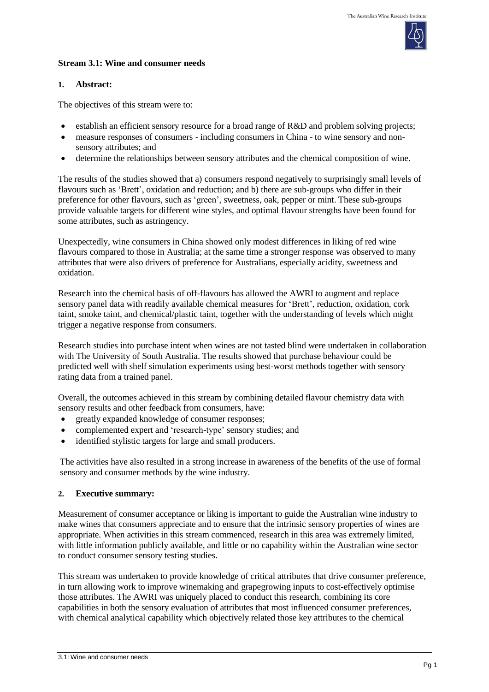#### **Stream 3.1: Wine and consumer needs**

# **1. Abstract:**

The objectives of this stream were to:

- establish an efficient sensory resource for a broad range of R&D and problem solving projects;
- measure responses of consumers including consumers in China to wine sensory and nonsensory attributes; and
- determine the relationships between sensory attributes and the chemical composition of wine.

The results of the studies showed that a) consumers respond negatively to surprisingly small levels of flavours such as 'Brett', oxidation and reduction; and b) there are sub-groups who differ in their preference for other flavours, such as 'green', sweetness, oak, pepper or mint. These sub-groups provide valuable targets for different wine styles, and optimal flavour strengths have been found for some attributes, such as astringency.

Unexpectedly, wine consumers in China showed only modest differences in liking of red wine flavours compared to those in Australia; at the same time a stronger response was observed to many attributes that were also drivers of preference for Australians, especially acidity, sweetness and oxidation.

Research into the chemical basis of off-flavours has allowed the AWRI to augment and replace sensory panel data with readily available chemical measures for 'Brett', reduction, oxidation, cork taint, smoke taint, and chemical/plastic taint, together with the understanding of levels which might trigger a negative response from consumers.

Research studies into purchase intent when wines are not tasted blind were undertaken in collaboration with The University of South Australia. The results showed that purchase behaviour could be predicted well with shelf simulation experiments using best-worst methods together with sensory rating data from a trained panel.

Overall, the outcomes achieved in this stream by combining detailed flavour chemistry data with sensory results and other feedback from consumers, have:

- greatly expanded knowledge of consumer responses;
- complemented expert and 'research-type' sensory studies; and
- identified stylistic targets for large and small producers.

The activities have also resulted in a strong increase in awareness of the benefits of the use of formal sensory and consumer methods by the wine industry.

#### **2. Executive summary:**

Measurement of consumer acceptance or liking is important to guide the Australian wine industry to make wines that consumers appreciate and to ensure that the intrinsic sensory properties of wines are appropriate. When activities in this stream commenced, research in this area was extremely limited, with little information publicly available, and little or no capability within the Australian wine sector to conduct consumer sensory testing studies.

This stream was undertaken to provide knowledge of critical attributes that drive consumer preference, in turn allowing work to improve winemaking and grapegrowing inputs to cost-effectively optimise those attributes. The AWRI was uniquely placed to conduct this research, combining its core capabilities in both the sensory evaluation of attributes that most influenced consumer preferences, with chemical analytical capability which objectively related those key attributes to the chemical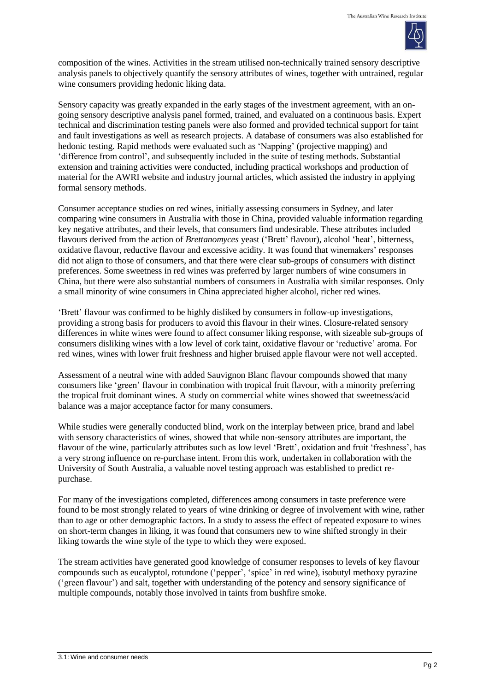

composition of the wines. Activities in the stream utilised non-technically trained sensory descriptive analysis panels to objectively quantify the sensory attributes of wines, together with untrained, regular wine consumers providing hedonic liking data.

Sensory capacity was greatly expanded in the early stages of the investment agreement, with an ongoing sensory descriptive analysis panel formed, trained, and evaluated on a continuous basis. Expert technical and discrimination testing panels were also formed and provided technical support for taint and fault investigations as well as research projects. A database of consumers was also established for hedonic testing. Rapid methods were evaluated such as 'Napping' (projective mapping) and 'difference from control', and subsequently included in the suite of testing methods. Substantial extension and training activities were conducted, including practical workshops and production of material for the AWRI website and industry journal articles, which assisted the industry in applying formal sensory methods.

Consumer acceptance studies on red wines, initially assessing consumers in Sydney, and later comparing wine consumers in Australia with those in China, provided valuable information regarding key negative attributes, and their levels, that consumers find undesirable. These attributes included flavours derived from the action of *Brettanomyces* yeast ('Brett' flavour), alcohol 'heat', bitterness, oxidative flavour, reductive flavour and excessive acidity. It was found that winemakers' responses did not align to those of consumers, and that there were clear sub-groups of consumers with distinct preferences. Some sweetness in red wines was preferred by larger numbers of wine consumers in China, but there were also substantial numbers of consumers in Australia with similar responses. Only a small minority of wine consumers in China appreciated higher alcohol, richer red wines.

'Brett' flavour was confirmed to be highly disliked by consumers in follow-up investigations, providing a strong basis for producers to avoid this flavour in their wines. Closure-related sensory differences in white wines were found to affect consumer liking response, with sizeable sub-groups of consumers disliking wines with a low level of cork taint, oxidative flavour or 'reductive' aroma. For red wines, wines with lower fruit freshness and higher bruised apple flavour were not well accepted.

Assessment of a neutral wine with added Sauvignon Blanc flavour compounds showed that many consumers like 'green' flavour in combination with tropical fruit flavour, with a minority preferring the tropical fruit dominant wines. A study on commercial white wines showed that sweetness/acid balance was a major acceptance factor for many consumers.

While studies were generally conducted blind, work on the interplay between price, brand and label with sensory characteristics of wines, showed that while non-sensory attributes are important, the flavour of the wine, particularly attributes such as low level 'Brett', oxidation and fruit 'freshness', has a very strong influence on re-purchase intent. From this work, undertaken in collaboration with the University of South Australia, a valuable novel testing approach was established to predict repurchase.

For many of the investigations completed, differences among consumers in taste preference were found to be most strongly related to years of wine drinking or degree of involvement with wine, rather than to age or other demographic factors. In a study to assess the effect of repeated exposure to wines on short-term changes in liking, it was found that consumers new to wine shifted strongly in their liking towards the wine style of the type to which they were exposed.

The stream activities have generated good knowledge of consumer responses to levels of key flavour compounds such as eucalyptol, rotundone ('pepper', 'spice' in red wine), isobutyl methoxy pyrazine ('green flavour') and salt, together with understanding of the potency and sensory significance of multiple compounds, notably those involved in taints from bushfire smoke.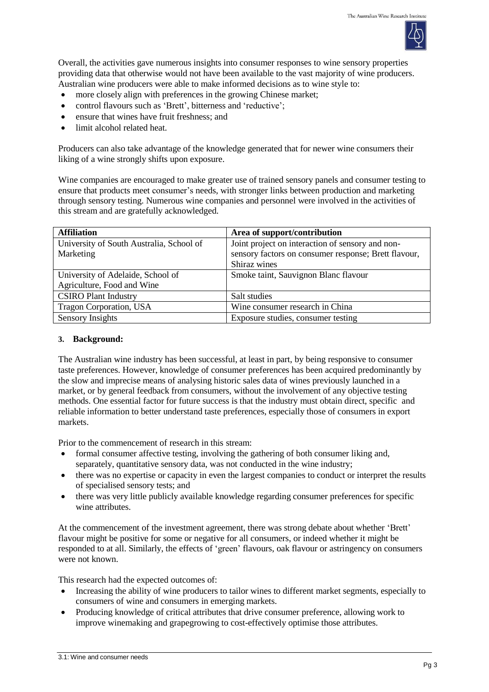

Overall, the activities gave numerous insights into consumer responses to wine sensory properties providing data that otherwise would not have been available to the vast majority of wine producers. Australian wine producers were able to make informed decisions as to wine style to:

- more closely align with preferences in the growing Chinese market;
- control flavours such as 'Brett', bitterness and 'reductive';
- ensure that wines have fruit freshness; and
- limit alcohol related heat.

Producers can also take advantage of the knowledge generated that for newer wine consumers their liking of a wine strongly shifts upon exposure.

Wine companies are encouraged to make greater use of trained sensory panels and consumer testing to ensure that products meet consumer's needs, with stronger links between production and marketing through sensory testing. Numerous wine companies and personnel were involved in the activities of this stream and are gratefully acknowledged.

| <b>Affiliation</b>                       | Area of support/contribution                         |
|------------------------------------------|------------------------------------------------------|
| University of South Australia, School of | Joint project on interaction of sensory and non-     |
| Marketing                                | sensory factors on consumer response; Brett flavour, |
|                                          | Shiraz wines                                         |
| University of Adelaide, School of        | Smoke taint, Sauvignon Blanc flavour                 |
| Agriculture, Food and Wine               |                                                      |
| <b>CSIRO Plant Industry</b>              | Salt studies                                         |
| Tragon Corporation, USA                  | Wine consumer research in China                      |
| Sensory Insights                         | Exposure studies, consumer testing                   |

#### **3. Background:**

The Australian wine industry has been successful, at least in part, by being responsive to consumer taste preferences. However, knowledge of consumer preferences has been acquired predominantly by the slow and imprecise means of analysing historic sales data of wines previously launched in a market, or by general feedback from consumers, without the involvement of any objective testing methods. One essential factor for future success is that the industry must obtain direct, specific and reliable information to better understand taste preferences, especially those of consumers in export markets.

Prior to the commencement of research in this stream:

- formal consumer affective testing, involving the gathering of both consumer liking and, separately, quantitative sensory data, was not conducted in the wine industry;
- there was no expertise or capacity in even the largest companies to conduct or interpret the results of specialised sensory tests; and
- there was very little publicly available knowledge regarding consumer preferences for specific wine attributes.

At the commencement of the investment agreement, there was strong debate about whether 'Brett' flavour might be positive for some or negative for all consumers, or indeed whether it might be responded to at all. Similarly, the effects of 'green' flavours, oak flavour or astringency on consumers were not known.

This research had the expected outcomes of:

- Increasing the ability of wine producers to tailor wines to different market segments, especially to consumers of wine and consumers in emerging markets.
- Producing knowledge of critical attributes that drive consumer preference, allowing work to improve winemaking and grapegrowing to cost-effectively optimise those attributes.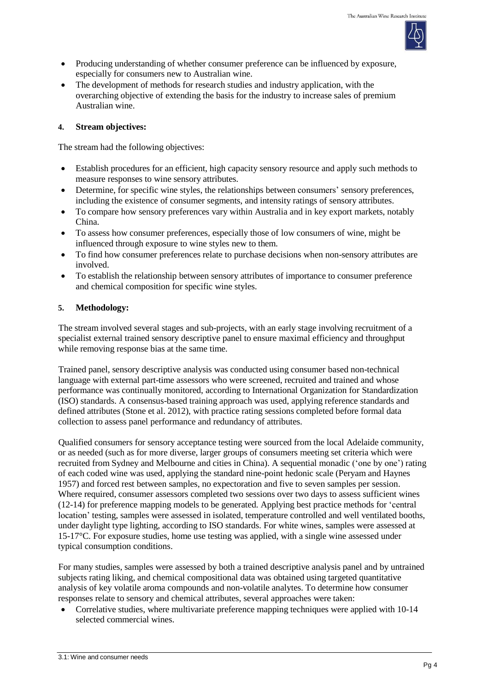

- Producing understanding of whether consumer preference can be influenced by exposure, especially for consumers new to Australian wine.
- The development of methods for research studies and industry application, with the overarching objective of extending the basis for the industry to increase sales of premium Australian wine.

# **4. Stream objectives:**

The stream had the following objectives:

- Establish procedures for an efficient, high capacity sensory resource and apply such methods to measure responses to wine sensory attributes.
- Determine, for specific wine styles, the relationships between consumers' sensory preferences, including the existence of consumer segments, and intensity ratings of sensory attributes.
- To compare how sensory preferences vary within Australia and in key export markets, notably China.
- To assess how consumer preferences, especially those of low consumers of wine, might be influenced through exposure to wine styles new to them.
- To find how consumer preferences relate to purchase decisions when non-sensory attributes are involved.
- To establish the relationship between sensory attributes of importance to consumer preference and chemical composition for specific wine styles.

# **5. Methodology:**

The stream involved several stages and sub-projects, with an early stage involving recruitment of a specialist external trained sensory descriptive panel to ensure maximal efficiency and throughput while removing response bias at the same time.

Trained panel, sensory descriptive analysis was conducted using consumer based non-technical language with external part-time assessors who were screened, recruited and trained and whose performance was continually monitored, according to International Organization for Standardization (ISO) standards. A consensus-based training approach was used, applying reference standards and defined attributes (Stone et al. 2012), with practice rating sessions completed before formal data collection to assess panel performance and redundancy of attributes.

Qualified consumers for sensory acceptance testing were sourced from the local Adelaide community, or as needed (such as for more diverse, larger groups of consumers meeting set criteria which were recruited from Sydney and Melbourne and cities in China). A sequential monadic ('one by one') rating of each coded wine was used, applying the standard nine-point hedonic scale (Peryam and Haynes 1957) and forced rest between samples, no expectoration and five to seven samples per session. Where required, consumer assessors completed two sessions over two days to assess sufficient wines (12-14) for preference mapping models to be generated. Applying best practice methods for 'central location' testing, samples were assessed in isolated, temperature controlled and well ventilated booths, under daylight type lighting, according to ISO standards. For white wines, samples were assessed at 15-17°C. For exposure studies, home use testing was applied, with a single wine assessed under typical consumption conditions.

For many studies, samples were assessed by both a trained descriptive analysis panel and by untrained subjects rating liking, and chemical compositional data was obtained using targeted quantitative analysis of key volatile aroma compounds and non-volatile analytes. To determine how consumer responses relate to sensory and chemical attributes, several approaches were taken:

 Correlative studies, where multivariate preference mapping techniques were applied with 10-14 selected commercial wines.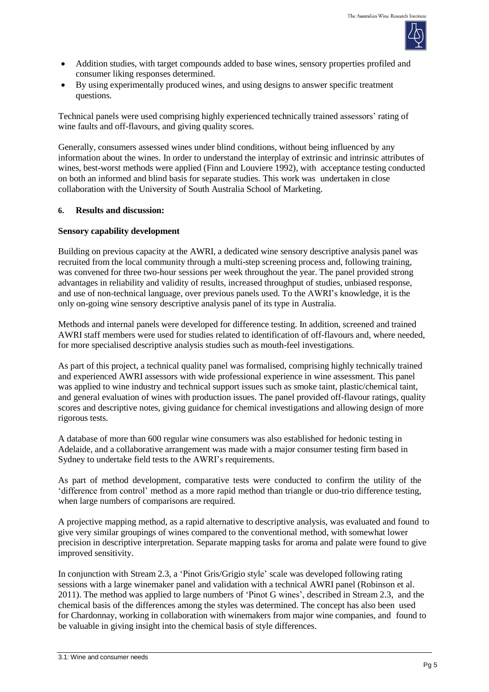

- Addition studies, with target compounds added to base wines, sensory properties profiled and consumer liking responses determined.
- By using experimentally produced wines, and using designs to answer specific treatment questions.

Technical panels were used comprising highly experienced technically trained assessors' rating of wine faults and off-flavours, and giving quality scores.

Generally, consumers assessed wines under blind conditions, without being influenced by any information about the wines. In order to understand the interplay of extrinsic and intrinsic attributes of wines, best-worst methods were applied (Finn and Louviere 1992), with acceptance testing conducted on both an informed and blind basis for separate studies. This work was undertaken in close collaboration with the University of South Australia School of Marketing.

# **6. Results and discussion:**

# **Sensory capability development**

Building on previous capacity at the AWRI, a dedicated wine sensory descriptive analysis panel was recruited from the local community through a multi-step screening process and, following training, was convened for three two-hour sessions per week throughout the year. The panel provided strong advantages in reliability and validity of results, increased throughput of studies, unbiased response, and use of non-technical language, over previous panels used. To the AWRI's knowledge, it is the only on-going wine sensory descriptive analysis panel of its type in Australia.

Methods and internal panels were developed for difference testing. In addition, screened and trained AWRI staff members were used for studies related to identification of off-flavours and, where needed, for more specialised descriptive analysis studies such as mouth-feel investigations.

As part of this project, a technical quality panel was formalised, comprising highly technically trained and experienced AWRI assessors with wide professional experience in wine assessment. This panel was applied to wine industry and technical support issues such as smoke taint, plastic/chemical taint, and general evaluation of wines with production issues. The panel provided off-flavour ratings, quality scores and descriptive notes, giving guidance for chemical investigations and allowing design of more rigorous tests.

A database of more than 600 regular wine consumers was also established for hedonic testing in Adelaide, and a collaborative arrangement was made with a major consumer testing firm based in Sydney to undertake field tests to the AWRI's requirements.

As part of method development, comparative tests were conducted to confirm the utility of the 'difference from control' method as a more rapid method than triangle or duo-trio difference testing, when large numbers of comparisons are required.

A projective mapping method, as a rapid alternative to descriptive analysis, was evaluated and found to give very similar groupings of wines compared to the conventional method, with somewhat lower precision in descriptive interpretation. Separate mapping tasks for aroma and palate were found to give improved sensitivity.

In conjunction with Stream 2.3, a 'Pinot Gris/Grigio style' scale was developed following rating sessions with a large winemaker panel and validation with a technical AWRI panel (Robinson et al. 2011). The method was applied to large numbers of 'Pinot G wines', described in Stream 2.3, and the chemical basis of the differences among the styles was determined. The concept has also been used for Chardonnay, working in collaboration with winemakers from major wine companies, and found to be valuable in giving insight into the chemical basis of style differences.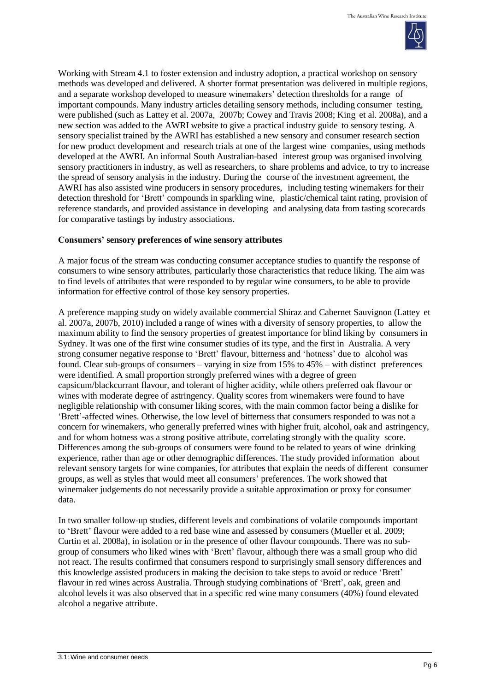

Working with Stream 4.1 to foster extension and industry adoption, a practical workshop on sensory methods was developed and delivered. A shorter format presentation was delivered in multiple regions, and a separate workshop developed to measure winemakers' detection thresholds for a range of important compounds. Many industry articles detailing sensory methods, including consumer testing, were published (such as Lattey et al. 2007a, 2007b; Cowey and Travis 2008; King et al. 2008a), and a new section was added to the AWRI website to give a practical industry guide to sensory testing. A sensory specialist trained by the AWRI has established a new sensory and consumer research section for new product development and research trials at one of the largest wine companies, using methods developed at the AWRI. An informal South Australian-based interest group was organised involving sensory practitioners in industry, as well as researchers, to share problems and advice, to try to increase the spread of sensory analysis in the industry. During the course of the investment agreement, the AWRI has also assisted wine producers in sensory procedures, including testing winemakers for their detection threshold for 'Brett' compounds in sparkling wine, plastic/chemical taint rating, provision of reference standards, and provided assistance in developing and analysing data from tasting scorecards for comparative tastings by industry associations.

#### **Consumers' sensory preferences of wine sensory attributes**

A major focus of the stream was conducting consumer acceptance studies to quantify the response of consumers to wine sensory attributes, particularly those characteristics that reduce liking. The aim was to find levels of attributes that were responded to by regular wine consumers, to be able to provide information for effective control of those key sensory properties.

A preference mapping study on widely available commercial Shiraz and Cabernet Sauvignon (Lattey et al. 2007a, 2007b, 2010) included a range of wines with a diversity of sensory properties, to allow the maximum ability to find the sensory properties of greatest importance for blind liking by consumers in Sydney. It was one of the first wine consumer studies of its type, and the first in Australia. A very strong consumer negative response to 'Brett' flavour, bitterness and 'hotness' due to alcohol was found. Clear sub-groups of consumers – varying in size from 15% to 45% – with distinct preferences were identified. A small proportion strongly preferred wines with a degree of green capsicum/blackcurrant flavour, and tolerant of higher acidity, while others preferred oak flavour or wines with moderate degree of astringency. Quality scores from winemakers were found to have negligible relationship with consumer liking scores, with the main common factor being a dislike for 'Brett'-affected wines. Otherwise, the low level of bitterness that consumers responded to was not a concern for winemakers, who generally preferred wines with higher fruit, alcohol, oak and astringency, and for whom hotness was a strong positive attribute, correlating strongly with the quality score. Differences among the sub-groups of consumers were found to be related to years of wine drinking experience, rather than age or other demographic differences. The study provided information about relevant sensory targets for wine companies, for attributes that explain the needs of different consumer groups, as well as styles that would meet all consumers' preferences. The work showed that winemaker judgements do not necessarily provide a suitable approximation or proxy for consumer data.

In two smaller follow-up studies, different levels and combinations of volatile compounds important to 'Brett' flavour were added to a red base wine and assessed by consumers (Mueller et al. 2009; Curtin et al. 2008a), in isolation or in the presence of other flavour compounds. There was no subgroup of consumers who liked wines with 'Brett' flavour, although there was a small group who did not react. The results confirmed that consumers respond to surprisingly small sensory differences and this knowledge assisted producers in making the decision to take steps to avoid or reduce 'Brett' flavour in red wines across Australia. Through studying combinations of 'Brett', oak, green and alcohol levels it was also observed that in a specific red wine many consumers (40%) found elevated alcohol a negative attribute.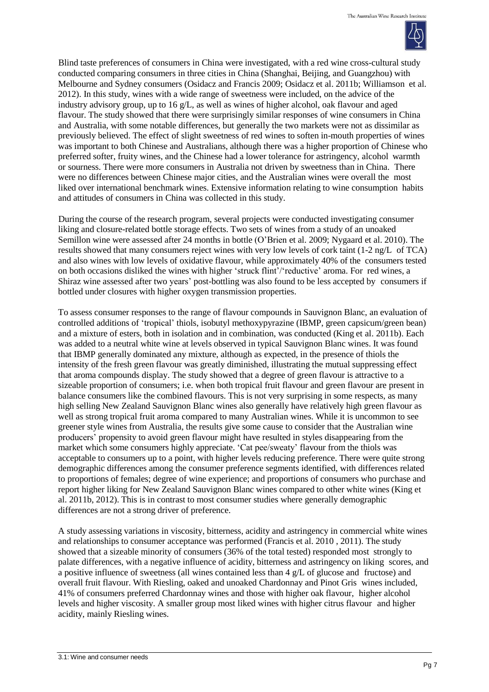

Blind taste preferences of consumers in China were investigated, with a red wine cross-cultural study conducted comparing consumers in three cities in China (Shanghai, Beijing, and Guangzhou) with Melbourne and Sydney consumers (Osidacz and Francis 2009; Osidacz et al. 2011b; Williamson et al. 2012). In this study, wines with a wide range of sweetness were included, on the advice of the industry advisory group, up to 16  $\alpha$ /L, as well as wines of higher alcohol, oak flavour and aged flavour. The study showed that there were surprisingly similar responses of wine consumers in China and Australia, with some notable differences, but generally the two markets were not as dissimilar as previously believed. The effect of slight sweetness of red wines to soften in-mouth properties of wines was important to both Chinese and Australians, although there was a higher proportion of Chinese who preferred softer, fruity wines, and the Chinese had a lower tolerance for astringency, alcohol warmth or sourness. There were more consumers in Australia not driven by sweetness than in China. There were no differences between Chinese major cities, and the Australian wines were overall the most liked over international benchmark wines. Extensive information relating to wine consumption habits and attitudes of consumers in China was collected in this study.

During the course of the research program, several projects were conducted investigating consumer liking and closure-related bottle storage effects. Two sets of wines from a study of an unoaked Semillon wine were assessed after 24 months in bottle (O'Brien et al. 2009; Nygaard et al. 2010). The results showed that many consumers reject wines with very low levels of cork taint (1-2 ng/L of TCA) and also wines with low levels of oxidative flavour, while approximately 40% of the consumers tested on both occasions disliked the wines with higher 'struck flint'/'reductive' aroma. For red wines, a Shiraz wine assessed after two years' post-bottling was also found to be less accepted by consumers if bottled under closures with higher oxygen transmission properties.

To assess consumer responses to the range of flavour compounds in Sauvignon Blanc, an evaluation of controlled additions of 'tropical' thiols, isobutyl methoxypyrazine (IBMP, green capsicum/green bean) and a mixture of esters, both in isolation and in combination, was conducted (King et al. 2011b). Each was added to a neutral white wine at levels observed in typical Sauvignon Blanc wines. It was found that IBMP generally dominated any mixture, although as expected, in the presence of thiols the intensity of the fresh green flavour was greatly diminished, illustrating the mutual suppressing effect that aroma compounds display. The study showed that a degree of green flavour is attractive to a sizeable proportion of consumers; i.e. when both tropical fruit flavour and green flavour are present in balance consumers like the combined flavours. This is not very surprising in some respects, as many high selling New Zealand Sauvignon Blanc wines also generally have relatively high green flavour as well as strong tropical fruit aroma compared to many Australian wines. While it is uncommon to see greener style wines from Australia, the results give some cause to consider that the Australian wine producers' propensity to avoid green flavour might have resulted in styles disappearing from the market which some consumers highly appreciate. 'Cat pee/sweaty' flavour from the thiols was acceptable to consumers up to a point, with higher levels reducing preference. There were quite strong demographic differences among the consumer preference segments identified, with differences related to proportions of females; degree of wine experience; and proportions of consumers who purchase and report higher liking for New Zealand Sauvignon Blanc wines compared to other white wines (King et al. 2011b, 2012). This is in contrast to most consumer studies where generally demographic differences are not a strong driver of preference.

A study assessing variations in viscosity, bitterness, acidity and astringency in commercial white wines and relationships to consumer acceptance was performed (Francis et al. 2010 , 2011). The study showed that a sizeable minority of consumers (36% of the total tested) responded most strongly to palate differences, with a negative influence of acidity, bitterness and astringency on liking scores, and a positive influence of sweetness (all wines contained less than 4 g/L of glucose and fructose) and overall fruit flavour. With Riesling, oaked and unoaked Chardonnay and Pinot Gris wines included, 41% of consumers preferred Chardonnay wines and those with higher oak flavour, higher alcohol levels and higher viscosity. A smaller group most liked wines with higher citrus flavour and higher acidity, mainly Riesling wines.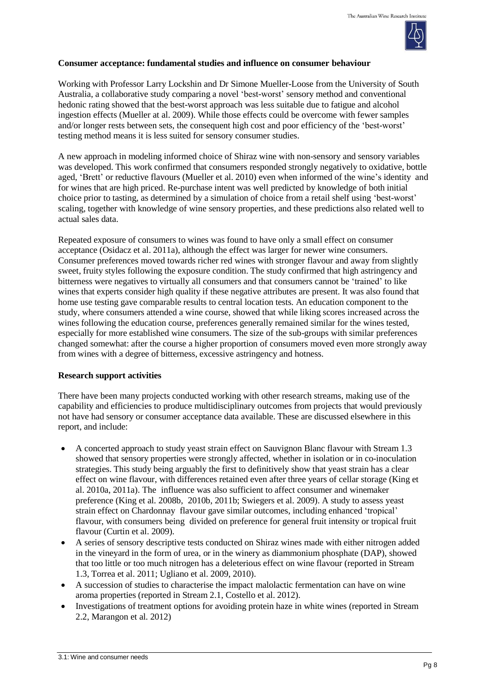

#### **Consumer acceptance: fundamental studies and influence on consumer behaviour**

Working with Professor Larry Lockshin and Dr Simone Mueller-Loose from the University of South Australia, a collaborative study comparing a novel 'best-worst' sensory method and conventional hedonic rating showed that the best-worst approach was less suitable due to fatigue and alcohol ingestion effects (Mueller at al. 2009). While those effects could be overcome with fewer samples and/or longer rests between sets, the consequent high cost and poor efficiency of the 'best-worst' testing method means it is less suited for sensory consumer studies.

A new approach in modeling informed choice of Shiraz wine with non-sensory and sensory variables was developed. This work confirmed that consumers responded strongly negatively to oxidative, bottle aged, 'Brett' or reductive flavours (Mueller et al. 2010) even when informed of the wine's identity and for wines that are high priced. Re-purchase intent was well predicted by knowledge of both initial choice prior to tasting, as determined by a simulation of choice from a retail shelf using 'best-worst' scaling, together with knowledge of wine sensory properties, and these predictions also related well to actual sales data.

Repeated exposure of consumers to wines was found to have only a small effect on consumer acceptance (Osidacz et al. 2011a), although the effect was larger for newer wine consumers. Consumer preferences moved towards richer red wines with stronger flavour and away from slightly sweet, fruity styles following the exposure condition. The study confirmed that high astringency and bitterness were negatives to virtually all consumers and that consumers cannot be 'trained' to like wines that experts consider high quality if these negative attributes are present. It was also found that home use testing gave comparable results to central location tests. An education component to the study, where consumers attended a wine course, showed that while liking scores increased across the wines following the education course, preferences generally remained similar for the wines tested, especially for more established wine consumers. The size of the sub-groups with similar preferences changed somewhat: after the course a higher proportion of consumers moved even more strongly away from wines with a degree of bitterness, excessive astringency and hotness.

#### **Research support activities**

There have been many projects conducted working with other research streams, making use of the capability and efficiencies to produce multidisciplinary outcomes from projects that would previously not have had sensory or consumer acceptance data available. These are discussed elsewhere in this report, and include:

- A concerted approach to study yeast strain effect on Sauvignon Blanc flavour with Stream 1.3 showed that sensory properties were strongly affected, whether in isolation or in co-inoculation strategies. This study being arguably the first to definitively show that yeast strain has a clear effect on wine flavour, with differences retained even after three years of cellar storage (King et al. 2010a, 2011a). The influence was also sufficient to affect consumer and winemaker preference (King et al. 2008b, 2010b, 2011b; Swiegers et al. 2009). A study to assess yeast strain effect on Chardonnay flavour gave similar outcomes, including enhanced 'tropical' flavour, with consumers being divided on preference for general fruit intensity or tropical fruit flavour (Curtin et al. 2009).
- A series of sensory descriptive tests conducted on Shiraz wines made with either nitrogen added in the vineyard in the form of urea, or in the winery as diammonium phosphate (DAP), showed that too little or too much nitrogen has a deleterious effect on wine flavour (reported in Stream 1.3, Torrea et al. 2011; Ugliano et al. 2009, 2010).
- A succession of studies to characterise the impact malolactic fermentation can have on wine aroma properties (reported in Stream 2.1, Costello et al. 2012).
- Investigations of treatment options for avoiding protein haze in white wines (reported in Stream 2.2, Marangon et al. 2012)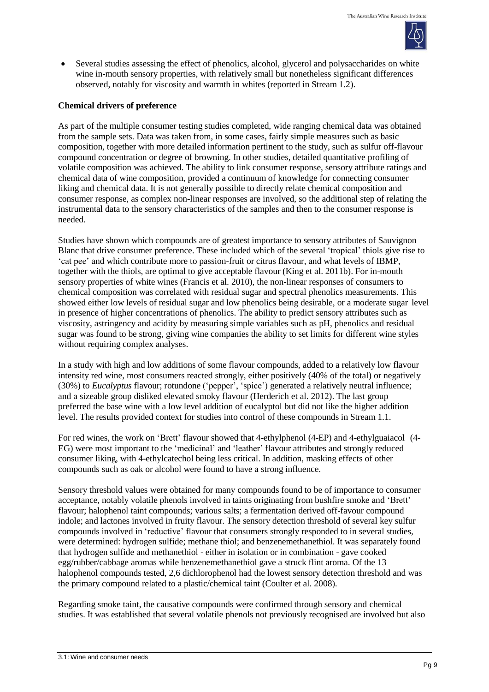

 Several studies assessing the effect of phenolics, alcohol, glycerol and polysaccharides on white wine in-mouth sensory properties, with relatively small but nonetheless significant differences observed, notably for viscosity and warmth in whites (reported in Stream 1.2).

# **Chemical drivers of preference**

As part of the multiple consumer testing studies completed, wide ranging chemical data was obtained from the sample sets. Data was taken from, in some cases, fairly simple measures such as basic composition, together with more detailed information pertinent to the study, such as sulfur off-flavour compound concentration or degree of browning. In other studies, detailed quantitative profiling of volatile composition was achieved. The ability to link consumer response, sensory attribute ratings and chemical data of wine composition, provided a continuum of knowledge for connecting consumer liking and chemical data. It is not generally possible to directly relate chemical composition and consumer response, as complex non-linear responses are involved, so the additional step of relating the instrumental data to the sensory characteristics of the samples and then to the consumer response is needed.

Studies have shown which compounds are of greatest importance to sensory attributes of Sauvignon Blanc that drive consumer preference. These included which of the several 'tropical' thiols give rise to 'cat pee' and which contribute more to passion-fruit or citrus flavour, and what levels of IBMP, together with the thiols, are optimal to give acceptable flavour (King et al. 2011b). For in-mouth sensory properties of white wines (Francis et al. 2010), the non-linear responses of consumers to chemical composition was correlated with residual sugar and spectral phenolics measurements. This showed either low levels of residual sugar and low phenolics being desirable, or a moderate sugar level in presence of higher concentrations of phenolics. The ability to predict sensory attributes such as viscosity, astringency and acidity by measuring simple variables such as pH, phenolics and residual sugar was found to be strong, giving wine companies the ability to set limits for different wine styles without requiring complex analyses.

In a study with high and low additions of some flavour compounds, added to a relatively low flavour intensity red wine, most consumers reacted strongly, either positively (40% of the total) or negatively (30%) to *Eucalyptus* flavour; rotundone ('pepper', 'spice') generated a relatively neutral influence; and a sizeable group disliked elevated smoky flavour (Herderich et al. 2012). The last group preferred the base wine with a low level addition of eucalyptol but did not like the higher addition level. The results provided context for studies into control of these compounds in Stream 1.1.

For red wines, the work on 'Brett' flavour showed that 4-ethylphenol (4-EP) and 4-ethylguaiacol (4- EG) were most important to the 'medicinal' and 'leather' flavour attributes and strongly reduced consumer liking, with 4-ethylcatechol being less critical. In addition, masking effects of other compounds such as oak or alcohol were found to have a strong influence.

Sensory threshold values were obtained for many compounds found to be of importance to consumer acceptance, notably volatile phenols involved in taints originating from bushfire smoke and 'Brett' flavour; halophenol taint compounds; various salts; a fermentation derived off-favour compound indole; and lactones involved in fruity flavour. The sensory detection threshold of several key sulfur compounds involved in 'reductive' flavour that consumers strongly responded to in several studies, were determined: hydrogen sulfide; methane thiol; and benzenemethanethiol. It was separately found that hydrogen sulfide and methanethiol - either in isolation or in combination - gave cooked egg/rubber/cabbage aromas while benzenemethanethiol gave a struck flint aroma. Of the 13 halophenol compounds tested, 2,6 dichlorophenol had the lowest sensory detection threshold and was the primary compound related to a plastic/chemical taint (Coulter et al. 2008).

Regarding smoke taint, the causative compounds were confirmed through sensory and chemical studies. It was established that several volatile phenols not previously recognised are involved but also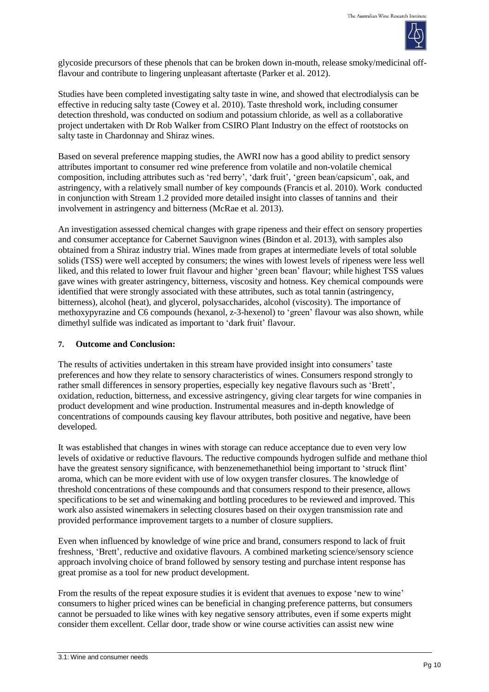

glycoside precursors of these phenols that can be broken down in-mouth, release smoky/medicinal offflavour and contribute to lingering unpleasant aftertaste (Parker et al. 2012).

Studies have been completed investigating salty taste in wine, and showed that electrodialysis can be effective in reducing salty taste (Cowey et al. 2010). Taste threshold work, including consumer detection threshold, was conducted on sodium and potassium chloride, as well as a collaborative project undertaken with Dr Rob Walker from CSIRO Plant Industry on the effect of rootstocks on salty taste in Chardonnay and Shiraz wines.

Based on several preference mapping studies, the AWRI now has a good ability to predict sensory attributes important to consumer red wine preference from volatile and non-volatile chemical composition, including attributes such as 'red berry', 'dark fruit', 'green bean/capsicum', oak, and astringency, with a relatively small number of key compounds (Francis et al. 2010). Work conducted in conjunction with Stream 1.2 provided more detailed insight into classes of tannins and their involvement in astringency and bitterness (McRae et al. 2013).

An investigation assessed chemical changes with grape ripeness and their effect on sensory properties and consumer acceptance for Cabernet Sauvignon wines (Bindon et al. 2013), with samples also obtained from a Shiraz industry trial. Wines made from grapes at intermediate levels of total soluble solids (TSS) were well accepted by consumers; the wines with lowest levels of ripeness were less well liked, and this related to lower fruit flavour and higher 'green bean' flavour; while highest TSS values gave wines with greater astringency, bitterness, viscosity and hotness. Key chemical compounds were identified that were strongly associated with these attributes, such as total tannin (astringency, bitterness), alcohol (heat), and glycerol, polysaccharides, alcohol (viscosity). The importance of methoxypyrazine and C6 compounds (hexanol, z-3-hexenol) to 'green' flavour was also shown, while dimethyl sulfide was indicated as important to 'dark fruit' flavour.

# **7. Outcome and Conclusion:**

The results of activities undertaken in this stream have provided insight into consumers' taste preferences and how they relate to sensory characteristics of wines. Consumers respond strongly to rather small differences in sensory properties, especially key negative flavours such as 'Brett', oxidation, reduction, bitterness, and excessive astringency, giving clear targets for wine companies in product development and wine production. Instrumental measures and in-depth knowledge of concentrations of compounds causing key flavour attributes, both positive and negative, have been developed.

It was established that changes in wines with storage can reduce acceptance due to even very low levels of oxidative or reductive flavours. The reductive compounds hydrogen sulfide and methane thiol have the greatest sensory significance, with benzenemethanethiol being important to 'struck flint' aroma, which can be more evident with use of low oxygen transfer closures. The knowledge of threshold concentrations of these compounds and that consumers respond to their presence, allows specifications to be set and winemaking and bottling procedures to be reviewed and improved. This work also assisted winemakers in selecting closures based on their oxygen transmission rate and provided performance improvement targets to a number of closure suppliers.

Even when influenced by knowledge of wine price and brand, consumers respond to lack of fruit freshness, 'Brett', reductive and oxidative flavours. A combined marketing science/sensory science approach involving choice of brand followed by sensory testing and purchase intent response has great promise as a tool for new product development.

From the results of the repeat exposure studies it is evident that avenues to expose 'new to wine' consumers to higher priced wines can be beneficial in changing preference patterns, but consumers cannot be persuaded to like wines with key negative sensory attributes, even if some experts might consider them excellent. Cellar door, trade show or wine course activities can assist new wine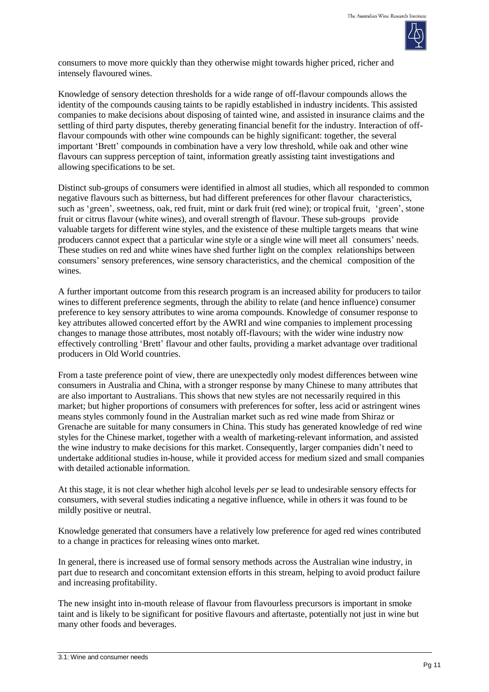

consumers to move more quickly than they otherwise might towards higher priced, richer and intensely flavoured wines.

Knowledge of sensory detection thresholds for a wide range of off-flavour compounds allows the identity of the compounds causing taints to be rapidly established in industry incidents. This assisted companies to make decisions about disposing of tainted wine, and assisted in insurance claims and the settling of third party disputes, thereby generating financial benefit for the industry. Interaction of offflavour compounds with other wine compounds can be highly significant: together, the several important 'Brett' compounds in combination have a very low threshold, while oak and other wine flavours can suppress perception of taint, information greatly assisting taint investigations and allowing specifications to be set.

Distinct sub-groups of consumers were identified in almost all studies, which all responded to common negative flavours such as bitterness, but had different preferences for other flavour characteristics, such as 'green', sweetness, oak, red fruit, mint or dark fruit (red wine); or tropical fruit, 'green', stone fruit or citrus flavour (white wines), and overall strength of flavour. These sub-groups provide valuable targets for different wine styles, and the existence of these multiple targets means that wine producers cannot expect that a particular wine style or a single wine will meet all consumers' needs. These studies on red and white wines have shed further light on the complex relationships between consumers' sensory preferences, wine sensory characteristics, and the chemical composition of the wines.

A further important outcome from this research program is an increased ability for producers to tailor wines to different preference segments, through the ability to relate (and hence influence) consumer preference to key sensory attributes to wine aroma compounds. Knowledge of consumer response to key attributes allowed concerted effort by the AWRI and wine companies to implement processing changes to manage those attributes, most notably off-flavours; with the wider wine industry now effectively controlling 'Brett' flavour and other faults, providing a market advantage over traditional producers in Old World countries.

From a taste preference point of view, there are unexpectedly only modest differences between wine consumers in Australia and China, with a stronger response by many Chinese to many attributes that are also important to Australians. This shows that new styles are not necessarily required in this market; but higher proportions of consumers with preferences for softer, less acid or astringent wines means styles commonly found in the Australian market such as red wine made from Shiraz or Grenache are suitable for many consumers in China. This study has generated knowledge of red wine styles for the Chinese market, together with a wealth of marketing-relevant information, and assisted the wine industry to make decisions for this market. Consequently, larger companies didn't need to undertake additional studies in-house, while it provided access for medium sized and small companies with detailed actionable information.

At this stage, it is not clear whether high alcohol levels *per se* lead to undesirable sensory effects for consumers, with several studies indicating a negative influence, while in others it was found to be mildly positive or neutral.

Knowledge generated that consumers have a relatively low preference for aged red wines contributed to a change in practices for releasing wines onto market.

In general, there is increased use of formal sensory methods across the Australian wine industry, in part due to research and concomitant extension efforts in this stream, helping to avoid product failure and increasing profitability.

The new insight into in-mouth release of flavour from flavourless precursors is important in smoke taint and is likely to be significant for positive flavours and aftertaste, potentially not just in wine but many other foods and beverages.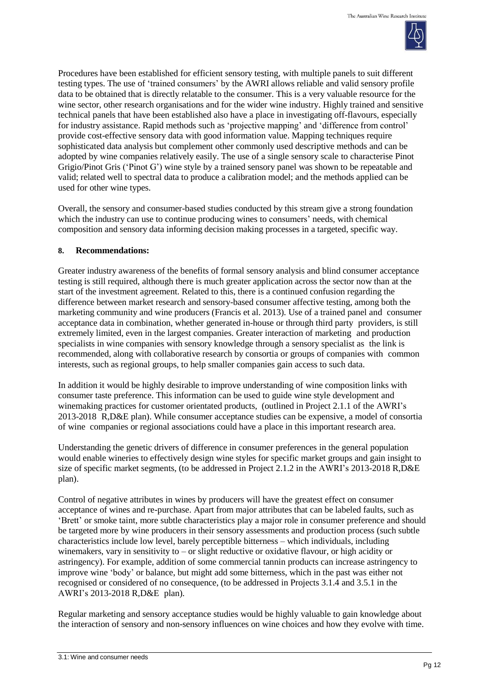

Procedures have been established for efficient sensory testing, with multiple panels to suit different testing types. The use of 'trained consumers' by the AWRI allows reliable and valid sensory profile data to be obtained that is directly relatable to the consumer. This is a very valuable resource for the wine sector, other research organisations and for the wider wine industry. Highly trained and sensitive technical panels that have been established also have a place in investigating off-flavours, especially for industry assistance. Rapid methods such as 'projective mapping' and 'difference from control' provide cost-effective sensory data with good information value. Mapping techniques require sophisticated data analysis but complement other commonly used descriptive methods and can be adopted by wine companies relatively easily. The use of a single sensory scale to characterise Pinot Grigio/Pinot Gris ('Pinot G') wine style by a trained sensory panel was shown to be repeatable and valid; related well to spectral data to produce a calibration model; and the methods applied can be used for other wine types.

Overall, the sensory and consumer-based studies conducted by this stream give a strong foundation which the industry can use to continue producing wines to consumers' needs, with chemical composition and sensory data informing decision making processes in a targeted, specific way.

# **8. Recommendations:**

Greater industry awareness of the benefits of formal sensory analysis and blind consumer acceptance testing is still required, although there is much greater application across the sector now than at the start of the investment agreement. Related to this, there is a continued confusion regarding the difference between market research and sensory-based consumer affective testing, among both the marketing community and wine producers (Francis et al. 2013). Use of a trained panel and consumer acceptance data in combination, whether generated in-house or through third party providers, is still extremely limited, even in the largest companies. Greater interaction of marketing and production specialists in wine companies with sensory knowledge through a sensory specialist as the link is recommended, along with collaborative research by consortia or groups of companies with common interests, such as regional groups, to help smaller companies gain access to such data.

In addition it would be highly desirable to improve understanding of wine composition links with consumer taste preference. This information can be used to guide wine style development and winemaking practices for customer orientated products, (outlined in Project 2.1.1 of the AWRI's 2013-2018 R,D&E plan). While consumer acceptance studies can be expensive, a model of consortia of wine companies or regional associations could have a place in this important research area.

Understanding the genetic drivers of difference in consumer preferences in the general population would enable wineries to effectively design wine styles for specific market groups and gain insight to size of specific market segments, (to be addressed in Project 2.1.2 in the AWRI's 2013-2018 R,D&E plan).

Control of negative attributes in wines by producers will have the greatest effect on consumer acceptance of wines and re-purchase. Apart from major attributes that can be labeled faults, such as 'Brett' or smoke taint, more subtle characteristics play a major role in consumer preference and should be targeted more by wine producers in their sensory assessments and production process (such subtle characteristics include low level, barely perceptible bitterness – which individuals, including winemakers, vary in sensitivity to – or slight reductive or oxidative flavour, or high acidity or astringency). For example, addition of some commercial tannin products can increase astringency to improve wine 'body' or balance, but might add some bitterness, which in the past was either not recognised or considered of no consequence, (to be addressed in Projects 3.1.4 and 3.5.1 in the AWRI's 2013-2018 R,D&E plan).

Regular marketing and sensory acceptance studies would be highly valuable to gain knowledge about the interaction of sensory and non-sensory influences on wine choices and how they evolve with time.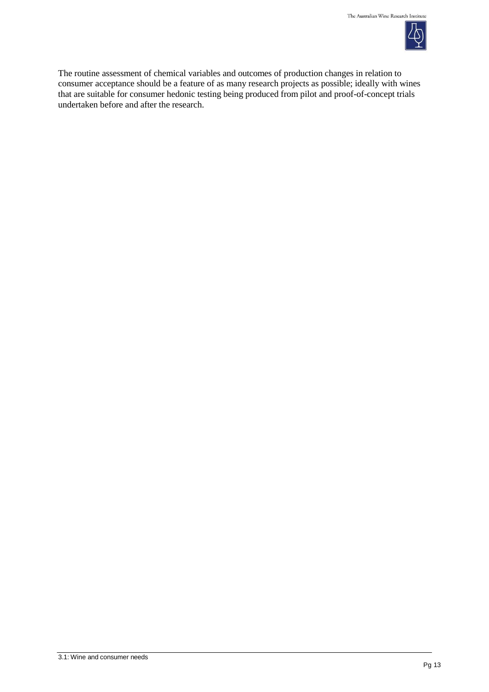

The routine assessment of chemical variables and outcomes of production changes in relation to consumer acceptance should be a feature of as many research projects as possible; ideally with wines that are suitable for consumer hedonic testing being produced from pilot and proof-of-concept trials undertaken before and after the research.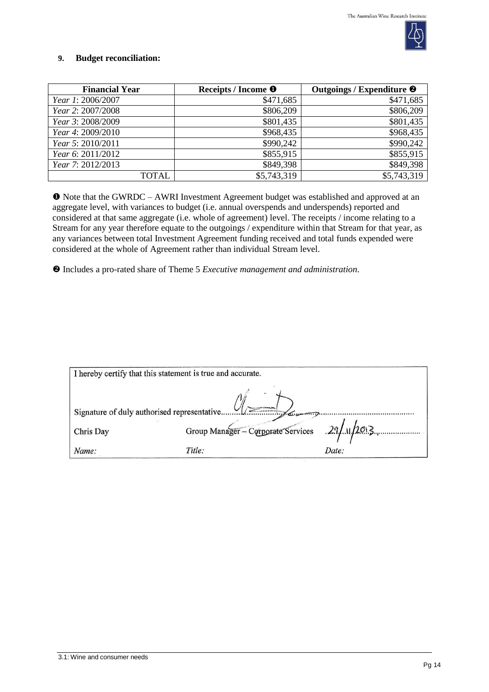

# **9. Budget reconciliation:**

| <b>Financial Year</b> | Receipts / Income <sup>O</sup> | Outgoings / Expenditure <sup>@</sup> |
|-----------------------|--------------------------------|--------------------------------------|
| Year 1: 2006/2007     | \$471,685                      | \$471,685                            |
| Year 2: 2007/2008     | \$806,209                      | \$806,209                            |
| Year 3: 2008/2009     | \$801,435                      | \$801,435                            |
| Year 4: 2009/2010     | \$968,435                      | \$968,435                            |
| Year 5: 2010/2011     | \$990,242                      | \$990,242                            |
| Year 6: 2011/2012     | \$855,915                      | \$855,915                            |
| Year 7: 2012/2013     | \$849,398                      | \$849,398                            |
| TOTAL                 | \$5,743,319                    | \$5,743,319                          |

 Note that the GWRDC – AWRI Investment Agreement budget was established and approved at an aggregate level, with variances to budget (i.e. annual overspends and underspends) reported and considered at that same aggregate (i.e. whole of agreement) level. The receipts / income relating to a Stream for any year therefore equate to the outgoings / expenditure within that Stream for that year, as any variances between total Investment Agreement funding received and total funds expended were considered at the whole of Agreement rather than individual Stream level.

Includes a pro-rated share of Theme 5 *Executive management and administration*.

|           | I hereby certify that this statement is true and accurate. |       |  |
|-----------|------------------------------------------------------------|-------|--|
|           |                                                            |       |  |
| Chris Day | Group Manager - Corporate Services 29/11/2013              |       |  |
| Name:     | Title:                                                     | Date: |  |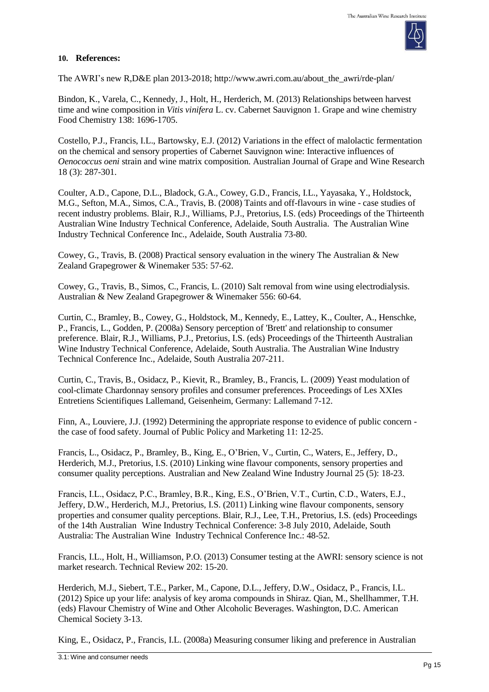

# **10. References:**

The AWRI's new R,D&E plan 2013-2018; [http://www.awri.com.au/about\\_the\\_awri/rde-plan/](http://www.awri.com.au/about_the_awri/rde-plan/)

Bindon, K., Varela, C., Kennedy, J., Holt, H., Herderich, M. (2013) Relationships between harvest time and wine composition in *Vitis vinifera* L. cv. Cabernet Sauvignon 1. Grape and wine chemistry Food Chemistry 138: 1696-1705.

Costello, P.J., Francis, I.L., Bartowsky, E.J. (2012) Variations in the effect of malolactic fermentation on the chemical and sensory properties of Cabernet Sauvignon wine: Interactive influences of *Oenococcus oeni* strain and wine matrix composition. Australian Journal of Grape and Wine Research 18 (3): 287-301.

Coulter, A.D., Capone, D.L., Bladock, G.A., Cowey, G.D., Francis, I.L., Yayasaka, Y., Holdstock, M.G., Sefton, M.A., Simos, C.A., Travis, B. (2008) Taints and off-flavours in wine - case studies of recent industry problems. Blair, R.J., Williams, P.J., Pretorius, I.S. (eds) Proceedings of the Thirteenth Australian Wine Industry Technical Conference, Adelaide, South Australia. The Australian Wine Industry Technical Conference Inc., Adelaide, South Australia 73-80.

Cowey, G., Travis, B. (2008) Practical sensory evaluation in the winery The Australian & New Zealand Grapegrower & Winemaker 535: 57-62.

Cowey, G., Travis, B., Simos, C., Francis, L. (2010) Salt removal from wine using electrodialysis. Australian & New Zealand Grapegrower & Winemaker 556: 60-64.

Curtin, C., Bramley, B., Cowey, G., Holdstock, M., Kennedy, E., Lattey, K., Coulter, A., Henschke, P., Francis, L., Godden, P. (2008a) Sensory perception of 'Brett' and relationship to consumer preference. Blair, R.J., Williams, P.J., Pretorius, I.S. (eds) Proceedings of the Thirteenth Australian Wine Industry Technical Conference, Adelaide, South Australia. The Australian Wine Industry Technical Conference Inc., Adelaide, South Australia 207-211.

Curtin, C., Travis, B., Osidacz, P., Kievit, R., Bramley, B., Francis, L. (2009) Yeast modulation of cool-climate Chardonnay sensory profiles and consumer preferences. Proceedings of Les XXIes Entretiens Scientifiques Lallemand, Geisenheim, Germany: Lallemand 7-12.

Finn, A., Louviere, J.J. (1992) Determining the appropriate response to evidence of public concern the case of food safety. Journal of Public Policy and Marketing 11: 12-25.

Francis, L., Osidacz, P., Bramley, B., King, E., O'Brien, V., Curtin, C., Waters, E., Jeffery, D., Herderich, M.J., Pretorius, I.S. (2010) Linking wine flavour components, sensory properties and consumer quality perceptions. Australian and New Zealand Wine Industry Journal 25 (5): 18-23.

Francis, I.L., Osidacz, P.C., Bramley, B.R., King, E.S., O'Brien, V.T., Curtin, C.D., Waters, E.J., Jeffery, D.W., Herderich, M.J., Pretorius, I.S. (2011) Linking wine flavour components, sensory properties and consumer quality perceptions. Blair, R.J., Lee, T.H., Pretorius, I.S. (eds) Proceedings of the 14th Australian Wine Industry Technical Conference: 3-8 July 2010, Adelaide, South Australia: The Australian Wine Industry Technical Conference Inc.: 48-52.

Francis, I.L., Holt, H., Williamson, P.O. (2013) Consumer testing at the AWRI: sensory science is not market research. Technical Review 202: 15-20.

Herderich, M.J., Siebert, T.E., Parker, M., Capone, D.L., Jeffery, D.W., Osidacz, P., Francis, I.L. (2012) Spice up your life: analysis of key aroma compounds in Shiraz. Qian, M., Shellhammer, T.H. (eds) Flavour Chemistry of Wine and Other Alcoholic Beverages. Washington, D.C. American Chemical Society 3-13.

King, E., Osidacz, P., Francis, I.L. (2008a) Measuring consumer liking and preference in Australian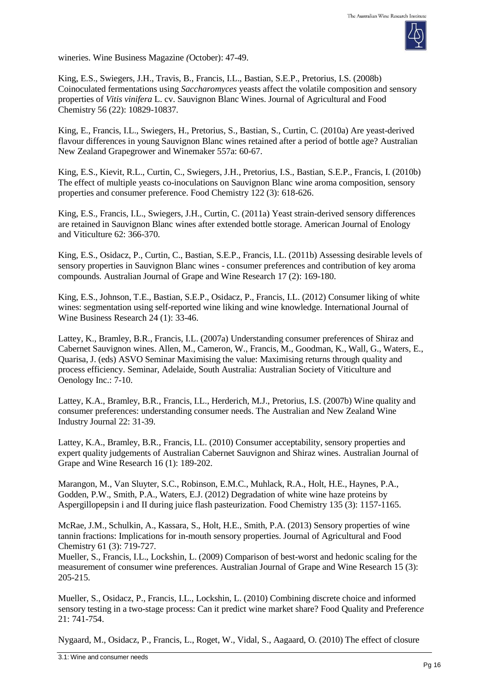

wineries. Wine Business Magazine *(*October): 47-49.

King, E.S., Swiegers, J.H., Travis, B., Francis, I.L., Bastian, S.E.P., Pretorius, I.S. (2008b) Coinoculated fermentations using *Saccharomyces* yeasts affect the volatile composition and sensory properties of *Vitis vinifera* L. cv. Sauvignon Blanc Wines. Journal of Agricultural and Food Chemistry 56 (22): 10829-10837.

King, E., Francis, I.L., Swiegers, H., Pretorius, S., Bastian, S., Curtin, C. (2010a) Are yeast-derived flavour differences in young Sauvignon Blanc wines retained after a period of bottle age? Australian New Zealand Grapegrower and Winemaker 557a: 60-67.

King, E.S., Kievit, R.L., Curtin, C., Swiegers, J.H., Pretorius, I.S., Bastian, S.E.P., Francis, I. (2010b) The effect of multiple yeasts co-inoculations on Sauvignon Blanc wine aroma composition, sensory properties and consumer preference. Food Chemistry 122 (3): 618-626.

King, E.S., Francis, I.L., Swiegers, J.H., Curtin, C. (2011a) Yeast strain-derived sensory differences are retained in Sauvignon Blanc wines after extended bottle storage. American Journal of Enology and Viticulture 62: 366-370.

King, E.S., Osidacz, P., Curtin, C., Bastian, S.E.P., Francis, I.L. (2011b) Assessing desirable levels of sensory properties in Sauvignon Blanc wines - consumer preferences and contribution of key aroma compounds. Australian Journal of Grape and Wine Research 17 (2): 169-180.

King, E.S., Johnson, T.E., Bastian, S.E.P., Osidacz, P., Francis, I.L. (2012) Consumer liking of white wines: segmentation using self-reported wine liking and wine knowledge. International Journal of Wine Business Research 24 (1): 33-46.

Lattey, K., Bramley, B.R., Francis, I.L. (2007a) Understanding consumer preferences of Shiraz and Cabernet Sauvignon wines. Allen, M., Cameron, W., Francis, M., Goodman, K., Wall, G., Waters, E., Quarisa, J. (eds) ASVO Seminar Maximising the value: Maximising returns through quality and process efficiency. Seminar, Adelaide, South Australia: Australian Society of Viticulture and Oenology Inc.: 7-10.

Lattey, K.A., Bramley, B.R., Francis, I.L., Herderich, M.J., Pretorius, I.S. (2007b) Wine quality and consumer preferences: understanding consumer needs. The Australian and New Zealand Wine Industry Journal 22: 31-39.

Lattey, K.A., Bramley, B.R., Francis, I.L. (2010) Consumer acceptability, sensory properties and expert quality judgements of Australian Cabernet Sauvignon and Shiraz wines. Australian Journal of Grape and Wine Research 16 (1): 189-202.

Marangon, M., Van Sluyter, S.C., Robinson, E.M.C., Muhlack, R.A., Holt, H.E., Haynes, P.A., Godden, P.W., Smith, P.A., Waters, E.J. (2012) Degradation of white wine haze proteins by Aspergillopepsin i and II during juice flash pasteurization. Food Chemistry 135 (3): 1157-1165.

McRae, J.M., Schulkin, A., Kassara, S., Holt, H.E., Smith, P.A. (2013) Sensory properties of wine tannin fractions: Implications for in-mouth sensory properties. Journal of Agricultural and Food Chemistry 61 (3): 719-727.

Mueller, S., Francis, I.L., Lockshin, L. (2009) Comparison of best-worst and hedonic scaling for the measurement of consumer wine preferences. Australian Journal of Grape and Wine Research 15 (3): 205-215.

Mueller, S., Osidacz, P., Francis, I.L., Lockshin, L. (2010) Combining discrete choice and informed sensory testing in a two-stage process: Can it predict wine market share? Food Quality and Preferenc*e* 21: 741-754.

Nygaard, M., Osidacz, P., Francis, L., Roget, W., Vidal, S., Aagaard, O. (2010) The effect of closure